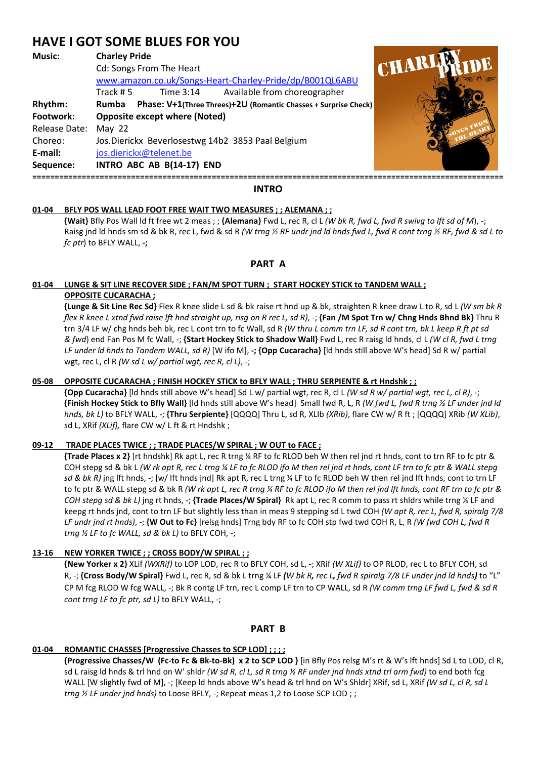# **HAVE I GOT SOME BLUES FOR YOU**

## **Music: Charley Pride**

|                      | Cd: Songs From The Heart<br>www.amazon.co.uk/Songs-Heart-Charley-Pride/dp/B001QL6ABU                                                      |  |
|----------------------|-------------------------------------------------------------------------------------------------------------------------------------------|--|
| Rhythm:              | Available from choreographer<br>Time 3:14<br>Track # 5<br>Phase: V+1(Three Threes)+2U (Romantic Chasses + Surprise Check)<br><b>Rumba</b> |  |
| Footwork:            | <b>Opposite except where (Noted)</b>                                                                                                      |  |
| Release Date: May 22 |                                                                                                                                           |  |
| Choreo:              | Jos.Dierickx Beverlosestwg 14b2 3853 Paal Belgium                                                                                         |  |
| E-mail:              | jos.dierickx@telenet.be                                                                                                                   |  |
| Sequence:            | INTRO ABC AB B(14-17) END                                                                                                                 |  |
|                      |                                                                                                                                           |  |



#### **INTRO**

#### **01-04 BFLY POS WALL LEAD FOOT FREE WAIT TWO MEASURES ; ; ALEMANA ; ;**

 **{Wait}** Bfly Pos Wall ld ft free wt 2 meas ; ; **{Alemana}** Fwd L, rec R, cl L *(W bk R, fwd L, fwd R swivg to lft sd of M*), -; Raisg jnd ld hnds sm sd & bk R, rec L, fwd & sd R *(W trng ½ RF undr jnd ld hnds fwd L, fwd R cont trng ½ RF, fwd & sd L to fc ptr*) to BFLY WALL, **-;** 

# **PART A**

#### **01-04 LUNGE & SIT LINE RECOVER SIDE ; FAN/M SPOT TURN ; START HOCKEY STICK to TANDEM WALL ; OPPOSITE CUCARACHA ;**

 **{Lunge & Sit Line Rec Sd}** Flex R knee slide L sd & bk raise rt hnd up & bk, straighten R knee draw L to R, sd L *(W sm bk R flex R knee L xtnd fwd raise lft hnd straight up, risg on R rec L, sd R)*, -; **{Fan /M Spot Trn w/ Chng Hnds Bhnd Bk}** Thru R trn 3/4 LF w/ chg hnds beh bk, rec L cont trn to fc Wall, sd R *(W thru L comm trn LF, sd R cont trn, bk L keep R ft pt sd & fwd*) end Fan Pos M fc Wall, -; **{Start Hockey Stick to Shadow Wall}** Fwd L, rec R raisg ld hnds, cl L *(W cl R, fwd L trng LF under ld hnds to Tandem WALL, sd R)* [W ifo M], **-; {Opp Cucaracha}** [ld hnds still above W's head] Sd R w/ partial wgt, rec L, cl R *(W sd L w/ partial wgt, rec R, cl L)*, -;

#### **05-08 OPPOSITE CUCARACHA ; FINISH HOCKEY STICK to BFLY WALL ; THRU SERPIENTE & rt Hndshk ; ;**

 **{Opp Cucaracha}** [ld hnds still above W's head] Sd L w/ partial wgt, rec R, cl L *(W sd R w/ partial wgt, rec L, cl R)*, -; **{Finish Hockey Stick to Bfly Wall}** [ld hnds still above W's head] Small fwd R, L, R *(W fwd L, fwd R trng ½ LF under jnd ld hnds, bk L)* to BFLY WALL, -; **{Thru Serpiente}** [QQQQ] Thru L, sd R, XLIb *(XRib)*, flare CW w/ R ft ; [QQQQ] XRib *(W XLib)*, sd L, XRif *(XLif),* flare CW w/ L ft & rt Hndshk ;

# **09-12 TRADE PLACES TWICE ; ; TRADE PLACES/W SPIRAL ; W OUT to FACE ;**

 **{Trade Places x 2}** [rt hndshk] Rk apt L, rec R trng ¼ RF to fc RLOD beh W then rel jnd rt hnds, cont to trn RF to fc ptr & COH stepg sd & bk L *(W rk apt R, rec L trng ¼ LF to fc RLOD ifo M then rel jnd rt hnds, cont LF trn to fc ptr & WALL stepg sd & bk R)* jng lft hnds, -; [w/ lft hnds jnd] Rk apt R, rec L trng ¼ LF to fc RLOD beh W then rel jnd lft hnds, cont to trn LF to fc ptr & WALL stepg sd & bk R *(W rk apt L, rec R trng ¼ RF to fc RLOD ifo M then rel jnd lft hnds, cont RF trn to fc ptr & COH stepg sd & bk L)* jng rt hnds, -; **{Trade Places/W Spiral}** Rk apt L, rec R comm to pass rt shldrs while trng ¼ LF and keepg rt hnds jnd, cont to trn LF but slightly less than in meas 9 stepping sd L twd COH *(W apt R, rec L, fwd R, spiralg 7/8 LF undr jnd rt hnds)*, -; **{W Out to Fc}** [relsg hnds] Trng bdy RF to fc COH stp fwd twd COH R, L, R *(W fwd COH L, fwd R trng ½ LF to fc WALL, sd & bk L)* to BFLY COH, -;

# **13-16 NEW YORKER TWICE ; ; CROSS BODY/W SPIRAL ; ;**

 **{New Yorker x 2}** XLif *(WXRif)* to LOP LOD, rec R to BFLY COH, sd L, -; XRif *(W XLif)* to OP RLOD, rec L to BFLY COH, sd R, -; **{Cross Body/W Spiral}** Fwd L, rec R, sd & bk L trng ¼ LF *(W bk R, rec L, fwd R spiralg 7/8 LF under jnd ld hnds)* to "L" CP M fcg RLOD W fcg WALL, -; Bk R contg LF trn, rec L comp LF trn to CP WALL, sd R *(W comm trng LF fwd L, fwd & sd R cont trng LF to fc ptr, sd L)* to BFLY WALL, -;

#### **PART B**

# **01-04 ROMANTIC CHASSES [Progressive Chasses to SCP LOD] ; ; ; ;**

 **{Progressive Chasses/W (Fc-to Fc & Bk-to-Bk) x 2 to SCP LOD }** [in Bfly Pos relsg M's rt & W's lft hnds] Sd L to LOD, cl R, sd L raisg ld hnds & trl hnd on W' shldr *(W sd R, cl L, sd R trng ½ RF under jnd hnds xtnd trl arm fwd)* to end both fcg WALL [W slightly fwd of M], -; [Keep ld hnds above W's head & trl hnd on W's Shldr] XRif, sd L, XRif *(W sd L, cl R, sd L trng ½ LF under jnd hnds)* to Loose BFLY, -; Repeat meas 1,2 to Loose SCP LOD ; ;